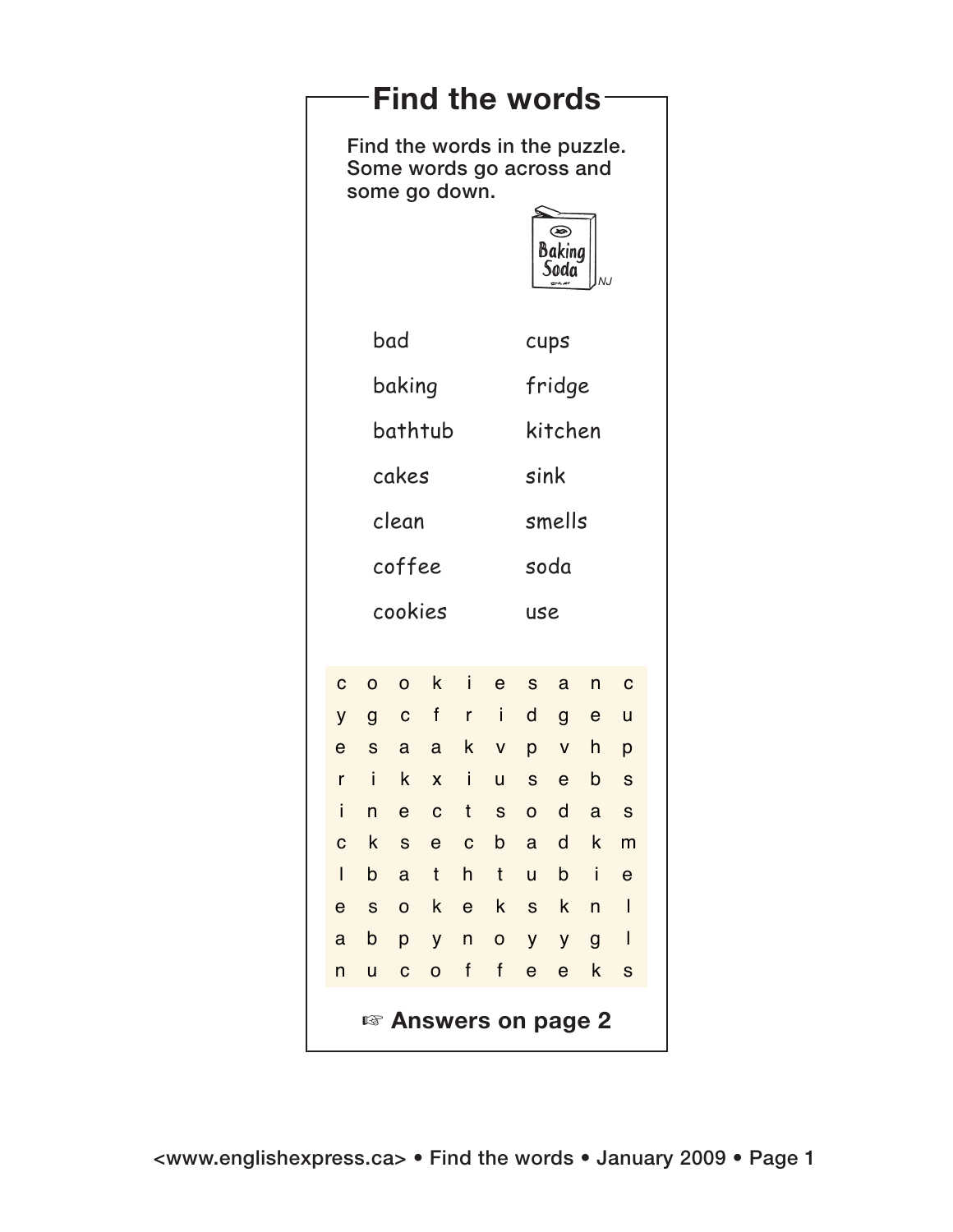| Find the words- |                                 |                                                                                                                             |                     |                              |              |                                   |                  |                            |                  |                         |  |  |
|-----------------|---------------------------------|-----------------------------------------------------------------------------------------------------------------------------|---------------------|------------------------------|--------------|-----------------------------------|------------------|----------------------------|------------------|-------------------------|--|--|
|                 |                                 | Find the words in the puzzle.<br>Some words go across and<br>some go down.<br>$\circledast$<br>Baking<br>Soda<br>NJ<br>سديد |                     |                              |              |                                   |                  |                            |                  |                         |  |  |
|                 |                                 | bad                                                                                                                         |                     |                              |              |                                   |                  | cups                       |                  |                         |  |  |
|                 | baking                          |                                                                                                                             |                     |                              |              |                                   |                  | fridge                     |                  |                         |  |  |
|                 | bathtub                         |                                                                                                                             |                     |                              |              |                                   |                  | kitchen                    |                  |                         |  |  |
|                 | cakes                           |                                                                                                                             |                     |                              |              |                                   |                  | sink                       |                  |                         |  |  |
|                 | clean                           |                                                                                                                             |                     |                              |              |                                   |                  | smells                     |                  |                         |  |  |
|                 |                                 | coffee                                                                                                                      |                     |                              |              |                                   |                  | soda                       |                  |                         |  |  |
|                 |                                 | cookies                                                                                                                     |                     |                              |              |                                   |                  |                            | use              |                         |  |  |
|                 | $\mathbf C$                     | $\mathsf{o}\xspace$                                                                                                         | $\circ$             | $\mathsf k$                  | $\mathbf{i}$ | $\mathsf{e}% _{t}\left( t\right)$ | S                | $\mathbf{a}$               | n                | $\overline{\mathbf{C}}$ |  |  |
|                 | y                               |                                                                                                                             | g c f               |                              | $r - i$      |                                   | $\mathsf{d}$     | $\mathsf{g}$               | e u              |                         |  |  |
|                 | $\mathbf e$<br>r                | $\mathsf S$                                                                                                                 | a<br>$\sf k$        | $\mathbf{a}$<br>$\mathsf{x}$ | $\mathbf{i}$ | k v<br>$\overline{u}$             | p<br>$\mathbf S$ | $\mathsf V$<br>$\mathbf e$ | h<br>$\mathsf b$ | p<br>$\mathbf S$        |  |  |
|                 | L                               | $\mathsf{n}$                                                                                                                | $\mathsf e$         | $\mathbf C$                  | $\mathsf{t}$ | $\mathsf S$                       | $\mathbf{o}$     | $\mathsf{d}$               | $\mathbf{a}$     | $\mathbf{s}$            |  |  |
|                 | ${\bf C}$                       | $\mathsf{k}$                                                                                                                | ${\bf S}$           | e                            | $\mathbf C$  | $\mathsf{b}$                      | $\mathbf{a}$     | $\mathsf{d}$               |                  | $k$ m                   |  |  |
|                 | L                               | $\mathsf{b}$                                                                                                                | $\mathsf{a}$        | $\mathsf{t}$                 | h            | $\mathsf{t}$                      | $\mathsf{u}$     | $\mathsf{b}$               |                  | $\mathbf e$             |  |  |
|                 | $\mathbf e$                     | S                                                                                                                           | $\mathsf{o}\xspace$ | k e                          |              | $\mathsf{k}$                      | $\mathsf S$      | $\mathsf{k}$               | n                |                         |  |  |
|                 | $\mathbf{a}$                    | b                                                                                                                           | p                   | y                            | $\sf n$      | $\mathbf O$                       | y                | y                          | $\mathsf{g}$     | $\mathbf{I}$            |  |  |
|                 | n                               | <b>u</b>                                                                                                                    | ${\bf C}$           | $\mathsf{o}$                 | $\mathsf{f}$ | $\mathsf{f}$                      | $\mathbf{e}$     | $\boldsymbol{\mathsf{e}}$  | $\mathsf{k}$     | S                       |  |  |
|                 | <sup>18</sup> Answers on page 2 |                                                                                                                             |                     |                              |              |                                   |                  |                            |                  |                         |  |  |